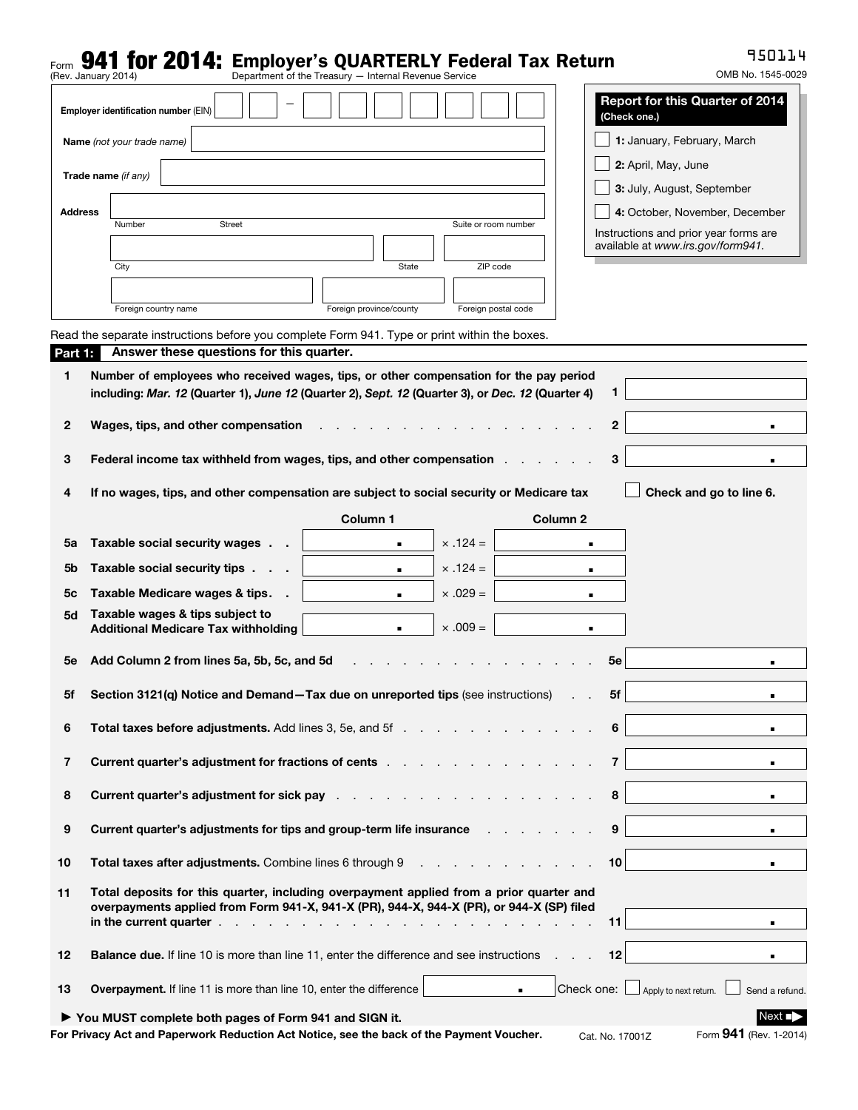# Form **941 for 2014:** Employer's QUARTERLY Federal Tax Return<br>(Rev. January 2014)<br>**Department of the Treasury — Internal Revenue Service**

950114

|                | $110V.$ Uction of $V = V + T$                                                                                                                                                                                                  |                             |                                                        |                |
|----------------|--------------------------------------------------------------------------------------------------------------------------------------------------------------------------------------------------------------------------------|-----------------------------|--------------------------------------------------------|----------------|
|                | Employer identification number (EIN)                                                                                                                                                                                           |                             | <b>Report for this Quarter of 2014</b><br>(Check one.) |                |
|                | Name (not your trade name)                                                                                                                                                                                                     | 1: January, February, March |                                                        |                |
|                |                                                                                                                                                                                                                                |                             | 2: April, May, June                                    |                |
|                | Trade name (if any)                                                                                                                                                                                                            |                             | 3: July, August, September                             |                |
| <b>Address</b> |                                                                                                                                                                                                                                |                             | 4: October, November, December                         |                |
|                | <b>Street</b><br>Number                                                                                                                                                                                                        | Suite or room number        | Instructions and prior year forms are                  |                |
|                |                                                                                                                                                                                                                                |                             | available at www.irs.gov/form941.                      |                |
|                | State<br>City                                                                                                                                                                                                                  | ZIP code                    |                                                        |                |
|                | Foreign province/county<br>Foreign country name                                                                                                                                                                                | Foreign postal code         |                                                        |                |
|                | Read the separate instructions before you complete Form 941. Type or print within the boxes.                                                                                                                                   |                             |                                                        |                |
| Part 1:        | Answer these questions for this quarter.                                                                                                                                                                                       |                             |                                                        |                |
| 1              | Number of employees who received wages, tips, or other compensation for the pay period                                                                                                                                         |                             |                                                        |                |
|                | including: Mar. 12 (Quarter 1), June 12 (Quarter 2), Sept. 12 (Quarter 3), or Dec. 12 (Quarter 4)                                                                                                                              |                             | 1                                                      |                |
| 2              | Wages, tips, and other compensation                                                                                                                                                                                            |                             | 2                                                      | ٠              |
|                |                                                                                                                                                                                                                                |                             |                                                        |                |
| з              | Federal income tax withheld from wages, tips, and other compensation                                                                                                                                                           |                             | 3                                                      | $\blacksquare$ |
| 4              | If no wages, tips, and other compensation are subject to social security or Medicare tax                                                                                                                                       |                             | Check and go to line 6.                                |                |
|                | Column 1                                                                                                                                                                                                                       |                             | Column <sub>2</sub>                                    |                |
| 5a             | Taxable social security wages<br>$\blacksquare$                                                                                                                                                                                | $\times$ .124 =             |                                                        |                |
| 5b             | Taxable social security tips<br>$\blacksquare$                                                                                                                                                                                 | $\times$ .124 =             | $\blacksquare$                                         |                |
| 5с             | Taxable Medicare wages & tips.<br>$\blacksquare$                                                                                                                                                                               | $\times .029 =$             | $\blacksquare$                                         |                |
| 5d             | Taxable wages & tips subject to                                                                                                                                                                                                |                             |                                                        |                |
|                | <b>Additional Medicare Tax withholding</b><br>$\blacksquare$                                                                                                                                                                   | $\times .009 =$             | $\blacksquare$                                         |                |
| <b>5e</b>      | Add Column 2 from lines 5a, 5b, 5c, and 5d                                                                                                                                                                                     |                             | 5е                                                     |                |
|                |                                                                                                                                                                                                                                |                             |                                                        |                |
| 5f             | Section 3121(q) Notice and Demand-Tax due on unreported tips (see instructions)                                                                                                                                                |                             | 5f                                                     |                |
| 6              | Total taxes before adjustments. Add lines 3, 5e, and 5f                                                                                                                                                                        |                             | 6                                                      | $\blacksquare$ |
|                |                                                                                                                                                                                                                                |                             | $\overline{7}$                                         |                |
| 7              | <b>Current quarter's adjustment for fractions of cents</b>                                                                                                                                                                     |                             |                                                        | $\blacksquare$ |
| 8              | Current quarter's adjustment for sick pay enter the state of the state of the state of the state of the state of the state of the state of the state of the state of the state of the state of the state of the state of the s |                             | 8                                                      | $\blacksquare$ |
| 9              | Current quarter's adjustments for tips and group-term life insurance responsion to the current quarter's adjustments for tips and group-term life insurance                                                                    |                             | 9                                                      | $\blacksquare$ |
|                |                                                                                                                                                                                                                                |                             |                                                        |                |
| 10             | <b>Total taxes after adjustments.</b> Combine lines 6 through 9                                                                                                                                                                |                             | 10                                                     | $\blacksquare$ |
| 11             | Total deposits for this quarter, including overpayment applied from a prior quarter and<br>overpayments applied from Form 941-X, 941-X (PR), 944-X, 944-X (PR), or 944-X (SP) filed                                            |                             | 11                                                     | $\blacksquare$ |
| 12             | <b>Balance due.</b> If line 10 is more than line 11, enter the difference and see instructions                                                                                                                                 |                             | 12                                                     | $\blacksquare$ |
| 13             | <b>Overpayment.</b> If line 11 is more than line 10, enter the difference                                                                                                                                                      | $\blacksquare$              | Check one: $\Box$ Apply to next return.                | Send a refund. |
|                | ▶ You MUST complete both pages of Form 941 and SIGN it.                                                                                                                                                                        |                             |                                                        | Next ■         |
|                | For Privacy Act and Paperwork Reduction Act Notice, see the back of the Payment Voucher.                                                                                                                                       |                             | Form 941 (Rev. 1-2014)<br>Cat. No. 17001Z              |                |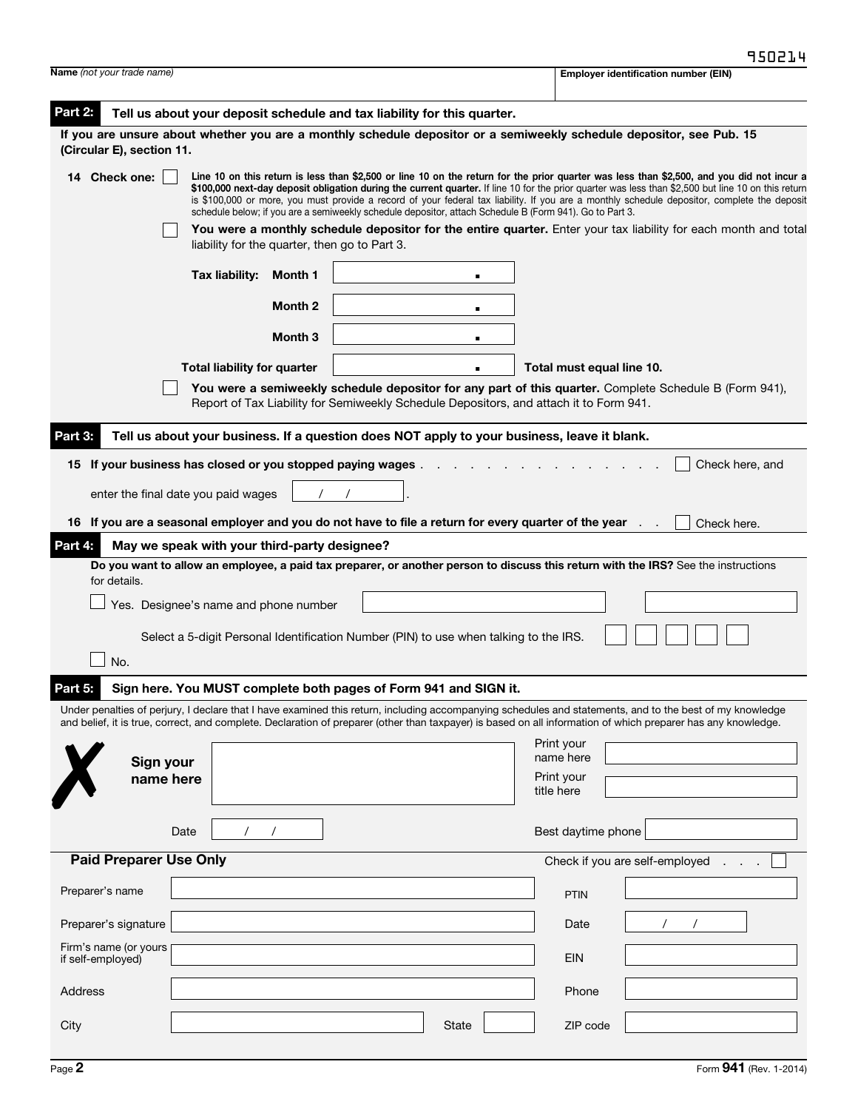| <b>Name</b> (not your trade name)                                                                                                                                                                                                                                                                                                                                                                                                                                                                                                                                                      | <b>Employer identification number (EIN)</b> |  |  |  |  |  |
|----------------------------------------------------------------------------------------------------------------------------------------------------------------------------------------------------------------------------------------------------------------------------------------------------------------------------------------------------------------------------------------------------------------------------------------------------------------------------------------------------------------------------------------------------------------------------------------|---------------------------------------------|--|--|--|--|--|
| Part 2:<br>Tell us about your deposit schedule and tax liability for this quarter.                                                                                                                                                                                                                                                                                                                                                                                                                                                                                                     |                                             |  |  |  |  |  |
| If you are unsure about whether you are a monthly schedule depositor or a semiweekly schedule depositor, see Pub. 15<br>(Circular E), section 11.                                                                                                                                                                                                                                                                                                                                                                                                                                      |                                             |  |  |  |  |  |
| Line 10 on this return is less than \$2,500 or line 10 on the return for the prior quarter was less than \$2,500, and you did not incur a<br><b>Check one:</b><br>14<br>\$100,000 next-day deposit obligation during the current quarter. If line 10 for the prior quarter was less than \$2,500 but line 10 on this return<br>is \$100,000 or more, you must provide a record of your federal tax liability. If you are a monthly schedule depositor, complete the deposit<br>schedule below; if you are a semiweekly schedule depositor, attach Schedule B (Form 941). Go to Part 3. |                                             |  |  |  |  |  |
| You were a monthly schedule depositor for the entire quarter. Enter your tax liability for each month and total<br>liability for the quarter, then go to Part 3.                                                                                                                                                                                                                                                                                                                                                                                                                       |                                             |  |  |  |  |  |
| Tax liability:<br>Month 1<br>$\blacksquare$                                                                                                                                                                                                                                                                                                                                                                                                                                                                                                                                            |                                             |  |  |  |  |  |
| Month <sub>2</sub><br>$\blacksquare$                                                                                                                                                                                                                                                                                                                                                                                                                                                                                                                                                   |                                             |  |  |  |  |  |
| Month 3<br>п                                                                                                                                                                                                                                                                                                                                                                                                                                                                                                                                                                           |                                             |  |  |  |  |  |
| <b>Total liability for quarter</b>                                                                                                                                                                                                                                                                                                                                                                                                                                                                                                                                                     | Total must equal line 10.                   |  |  |  |  |  |
| You were a semiweekly schedule depositor for any part of this quarter. Complete Schedule B (Form 941),<br>Report of Tax Liability for Semiweekly Schedule Depositors, and attach it to Form 941.                                                                                                                                                                                                                                                                                                                                                                                       |                                             |  |  |  |  |  |
| Tell us about your business. If a question does NOT apply to your business, leave it blank.<br>Part 3:                                                                                                                                                                                                                                                                                                                                                                                                                                                                                 |                                             |  |  |  |  |  |
| 15 If your business has closed or you stopped paying wages.                                                                                                                                                                                                                                                                                                                                                                                                                                                                                                                            | Check here, and                             |  |  |  |  |  |
| enter the final date you paid wages                                                                                                                                                                                                                                                                                                                                                                                                                                                                                                                                                    |                                             |  |  |  |  |  |
| 16 If you are a seasonal employer and you do not have to file a return for every quarter of the year                                                                                                                                                                                                                                                                                                                                                                                                                                                                                   | Check here.                                 |  |  |  |  |  |
| May we speak with your third-party designee?<br>Part 4:                                                                                                                                                                                                                                                                                                                                                                                                                                                                                                                                |                                             |  |  |  |  |  |
| Do you want to allow an employee, a paid tax preparer, or another person to discuss this return with the IRS? See the instructions<br>for details.                                                                                                                                                                                                                                                                                                                                                                                                                                     |                                             |  |  |  |  |  |
| Yes. Designee's name and phone number                                                                                                                                                                                                                                                                                                                                                                                                                                                                                                                                                  |                                             |  |  |  |  |  |
| Select a 5-digit Personal Identification Number (PIN) to use when talking to the IRS.                                                                                                                                                                                                                                                                                                                                                                                                                                                                                                  |                                             |  |  |  |  |  |
| No.                                                                                                                                                                                                                                                                                                                                                                                                                                                                                                                                                                                    |                                             |  |  |  |  |  |
| Sign here. You MUST complete both pages of Form 941 and SIGN it.<br>Part 5:                                                                                                                                                                                                                                                                                                                                                                                                                                                                                                            |                                             |  |  |  |  |  |
| Under penalties of perjury, I declare that I have examined this return, including accompanying schedules and statements, and to the best of my knowledge<br>and belief, it is true, correct, and complete. Declaration of preparer (other than taxpayer) is based on all information of which preparer has any knowledge.                                                                                                                                                                                                                                                              |                                             |  |  |  |  |  |
| Print your<br>Sign your                                                                                                                                                                                                                                                                                                                                                                                                                                                                                                                                                                | name here                                   |  |  |  |  |  |
| name here<br>Print your<br>title here                                                                                                                                                                                                                                                                                                                                                                                                                                                                                                                                                  |                                             |  |  |  |  |  |
|                                                                                                                                                                                                                                                                                                                                                                                                                                                                                                                                                                                        |                                             |  |  |  |  |  |
| Date                                                                                                                                                                                                                                                                                                                                                                                                                                                                                                                                                                                   | Best daytime phone                          |  |  |  |  |  |
| <b>Paid Preparer Use Only</b>                                                                                                                                                                                                                                                                                                                                                                                                                                                                                                                                                          | Check if you are self-employed              |  |  |  |  |  |
| Preparer's name                                                                                                                                                                                                                                                                                                                                                                                                                                                                                                                                                                        | <b>PTIN</b>                                 |  |  |  |  |  |
| Preparer's signature                                                                                                                                                                                                                                                                                                                                                                                                                                                                                                                                                                   | Date                                        |  |  |  |  |  |
| Firm's name (or yours<br>if self-employed)                                                                                                                                                                                                                                                                                                                                                                                                                                                                                                                                             | <b>EIN</b>                                  |  |  |  |  |  |
| Address                                                                                                                                                                                                                                                                                                                                                                                                                                                                                                                                                                                | Phone                                       |  |  |  |  |  |
| City<br>State                                                                                                                                                                                                                                                                                                                                                                                                                                                                                                                                                                          | ZIP code                                    |  |  |  |  |  |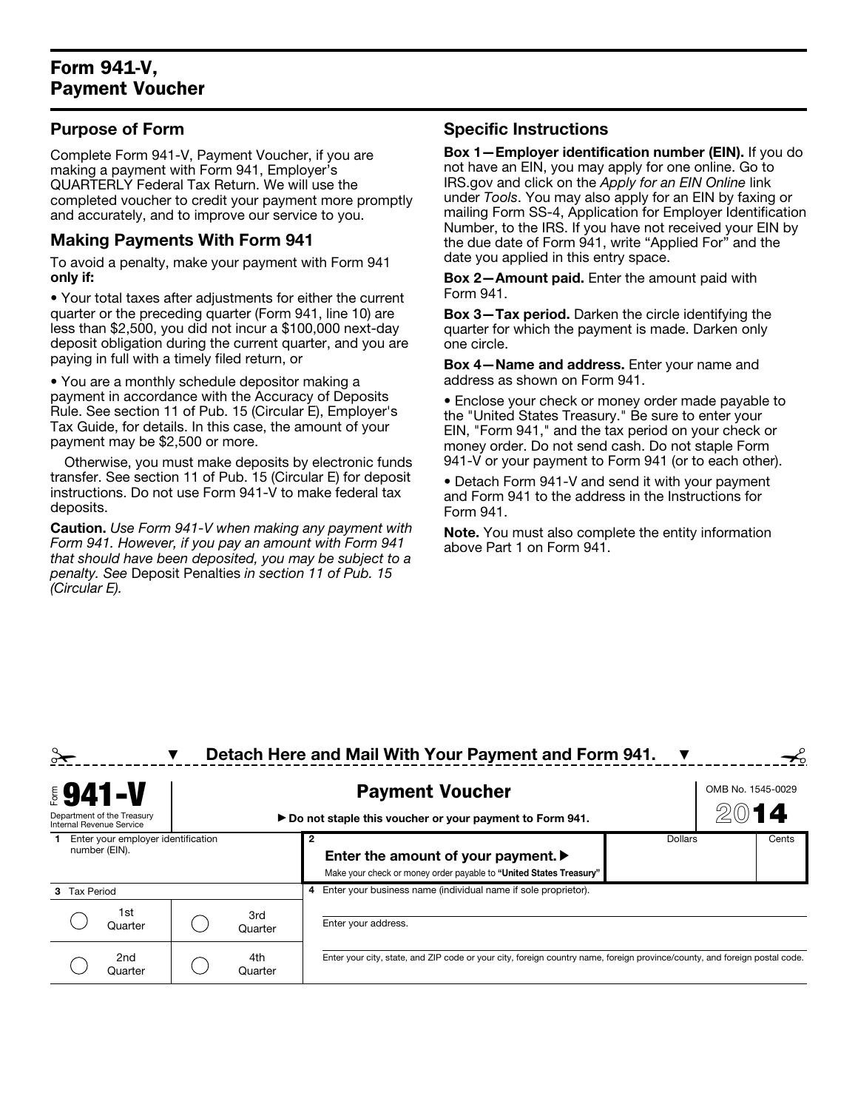## Form 941-V, Payment Voucher

### Purpose of Form

Complete Form 941-V, Payment Voucher, if you are making a payment with Form 941, Employer's QUARTERLY Federal Tax Return. We will use the completed voucher to credit your payment more promptly and accurately, and to improve our service to you.

#### Making Payments With Form 941

To avoid a penalty, make your payment with Form 941 only if:

• Your total taxes after adjustments for either the current quarter or the preceding quarter (Form 941, line 10) are less than \$2,500, you did not incur a \$100,000 next-day deposit obligation during the current quarter, and you are paying in full with a timely filed return, or

• You are a monthly schedule depositor making a payment in accordance with the Accuracy of Deposits Rule. See section 11 of Pub. 15 (Circular E), Employer's Tax Guide, for details. In this case, the amount of your payment may be \$2,500 or more.

Otherwise, you must make deposits by electronic funds transfer. See section 11 of Pub. 15 (Circular E) for deposit instructions. Do not use Form 941-V to make federal tax deposits.

Caution. *Use Form 941-V when making any payment with Form 941. However, if you pay an amount with Form 941 that should have been deposited, you may be subject to a penalty. See* Deposit Penalties *in section 11 of Pub. 15 (Circular E).*

#### Specific Instructions

Box 1—Employer identification number (EIN). If you do not have an EIN, you may apply for one online. Go to IRS.gov and click on the *Apply for an EIN Online* link under *Tools*. You may also apply for an EIN by faxing or mailing Form SS-4, Application for Employer Identification Number, to the IRS. If you have not received your EIN by the due date of Form 941, write "Applied For" and the date you applied in this entry space.

Box 2—Amount paid. Enter the amount paid with Form 941.

Box 3—Tax period. Darken the circle identifying the quarter for which the payment is made. Darken only one circle.

Box 4—Name and address. Enter your name and address as shown on Form 941.

• Enclose your check or money order made payable to the "United States Treasury." Be sure to enter your EIN, "Form 941," and the tax period on your check or money order. Do not send cash. Do not staple Form 941-V or your payment to Form 941 (or to each other).

• Detach Form 941-V and send it with your payment and Form 941 to the address in the Instructions for Form 941.

Note. You must also complete the entity information above Part 1 on Form 941.

|                                                        |  |                | Detach Here and Mail With Your Payment and Form 941.                                                                       |                |  |                   |  |
|--------------------------------------------------------|--|----------------|----------------------------------------------------------------------------------------------------------------------------|----------------|--|-------------------|--|
| <b>5941-V</b>                                          |  |                | <b>Payment Voucher</b>                                                                                                     |                |  | OMB No. 1545-0029 |  |
| Department of the Treasury<br>Internal Revenue Service |  |                | ► Do not staple this voucher or your payment to Form 941.                                                                  |                |  | 14                |  |
| Enter your employer identification<br>number (EIN).    |  |                | Enter the amount of your payment. ▶<br>Make your check or money order payable to "United States Treasury"                  | <b>Dollars</b> |  | Cents             |  |
| <b>Tax Period</b><br>з.                                |  |                | Enter your business name (individual name if sole proprietor).<br>4                                                        |                |  |                   |  |
| 1st<br>Quarter                                         |  | 3rd<br>Quarter | Enter your address.                                                                                                        |                |  |                   |  |
| 2nd<br>Quarter                                         |  | 4th<br>Quarter | Enter your city, state, and ZIP code or your city, foreign country name, foreign province/county, and foreign postal code. |                |  |                   |  |